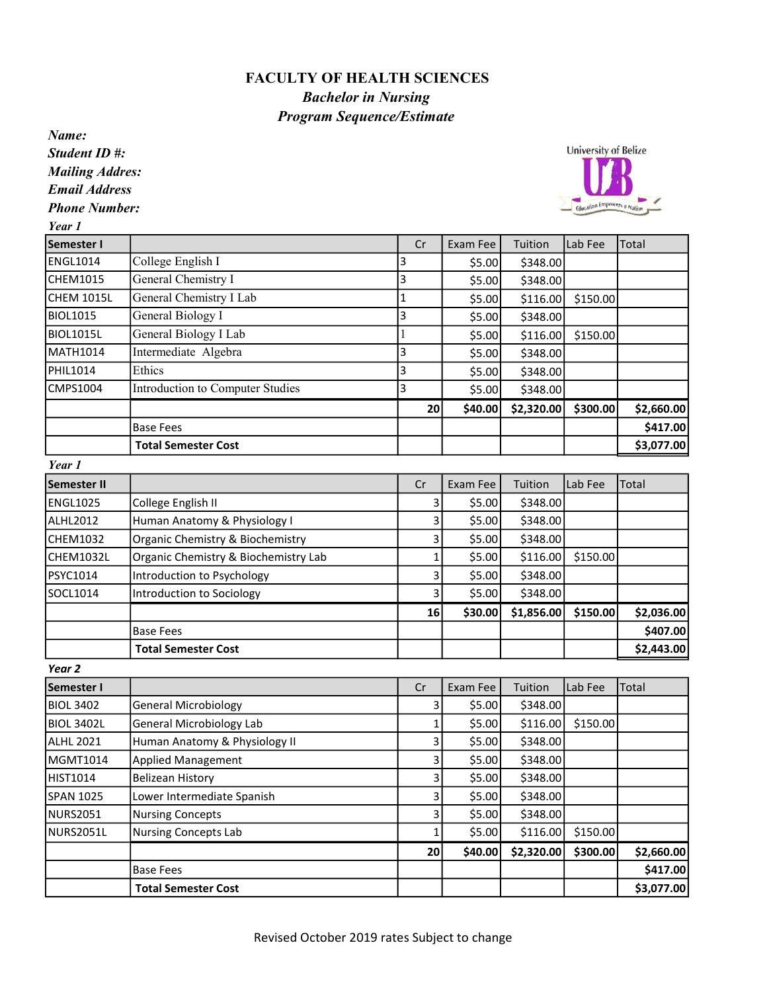## FACULTY OF HEALTH SCIENCES Bachelor in Nursing Program Sequence/Estimate

Name: Student ID #:

Mailing Addres:

Email Address

Phone Number:

Year 1

| Semester I      |                                  | Cr | Exam Fee | Tuition    | Lab Fee  | <b>Total</b> |
|-----------------|----------------------------------|----|----------|------------|----------|--------------|
| ENGL1014        | College English I                |    | \$5.00   | \$348.00   |          |              |
| CHEM1015        | General Chemistry I              |    | \$5.00   | \$348.00   |          |              |
| CHEM 1015L      | General Chemistry I Lab          |    | \$5.00   | \$116.00   | \$150.00 |              |
| <b>BIOL1015</b> | General Biology I                |    | \$5.00   | \$348.00   |          |              |
| BIOL1015L       | General Biology I Lab            |    | \$5.00   | \$116.00   | \$150.00 |              |
| MATH1014        | Intermediate Algebra             |    | \$5.00   | \$348.00   |          |              |
| PHIL1014        | Ethics                           |    | \$5.00   | \$348.00   |          |              |
| CMPS1004        | Introduction to Computer Studies | 3  | \$5.00   | \$348.00   |          |              |
|                 |                                  | 20 | \$40.00  | \$2,320.00 | \$300.00 | \$2,660.00   |
|                 | <b>Base Fees</b>                 |    |          |            |          | \$417.00     |
|                 | <b>Total Semester Cost</b>       |    |          |            |          | \$3,077.00   |

Year 1

| <b>Semester II</b> |                                      | Cr | Exam Fee | Tuition    | Lab Fee  | <b>Total</b> |
|--------------------|--------------------------------------|----|----------|------------|----------|--------------|
| ENGL1025           | College English II                   |    | \$5.00   | \$348.00   |          |              |
| ALHL2012           | Human Anatomy & Physiology I         |    | \$5.00   | \$348.00   |          |              |
| CHEM1032           | Organic Chemistry & Biochemistry     |    | \$5.00   | \$348.00   |          |              |
| CHEM1032L          | Organic Chemistry & Biochemistry Lab |    | \$5.00   | \$116.00   | \$150.00 |              |
| PSYC1014           | Introduction to Psychology           |    | \$5.00   | \$348.00   |          |              |
| SOCL1014           | Introduction to Sociology            |    | \$5.00   | \$348.00   |          |              |
|                    |                                      | 16 | \$30.00  | \$1,856.00 | \$150.00 | \$2,036.00   |
|                    | <b>Base Fees</b>                     |    |          |            |          | \$407.00     |
|                    | <b>Total Semester Cost</b>           |    |          |            |          | \$2,443.00   |

Year 2

| <b>Semester I</b> |                               | Cr | Exam Fee | Tuition    | Lab Fee  | Total      |
|-------------------|-------------------------------|----|----------|------------|----------|------------|
| <b>BIOL 3402</b>  | <b>General Microbiology</b>   | 3  | \$5.00   | \$348.00   |          |            |
| BIOL 3402L        | General Microbiology Lab      |    | \$5.00   | \$116.00   | \$150.00 |            |
| ALHL 2021         | Human Anatomy & Physiology II | 3  | \$5.00   | \$348.00   |          |            |
| MGMT1014          | <b>Applied Management</b>     | 3  | \$5.00   | \$348.00   |          |            |
| HIST1014          | <b>Belizean History</b>       | 3  | \$5.00   | \$348.00   |          |            |
| ISPAN 1025        | Lower Intermediate Spanish    | 3  | \$5.00   | \$348.00   |          |            |
| NURS2051          | <b>Nursing Concepts</b>       | 3  | \$5.00   | \$348.00   |          |            |
| INURS2051L        | <b>Nursing Concepts Lab</b>   |    | \$5.00   | \$116.00   | \$150.00 |            |
|                   |                               | 20 | \$40.00  | \$2,320.00 | \$300.00 | \$2,660.00 |
|                   | <b>Base Fees</b>              |    |          |            |          | \$417.00   |
|                   | <b>Total Semester Cost</b>    |    |          |            |          | \$3,077.00 |

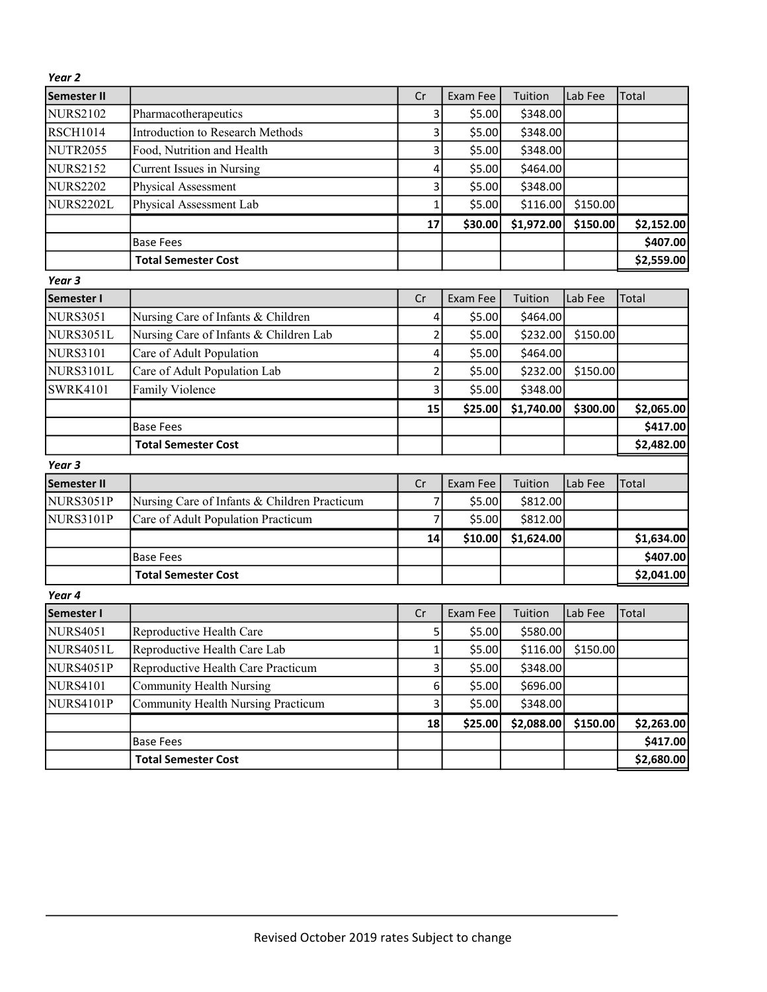| Year <sub>2</sub>  |                                              |                         |          |            |          |            |
|--------------------|----------------------------------------------|-------------------------|----------|------------|----------|------------|
| <b>Semester II</b> |                                              | Cr                      | Exam Fee | Tuition    | Lab Fee  | Total      |
| <b>NURS2102</b>    | Pharmacotherapeutics                         | 3                       | \$5.00   | \$348.00   |          |            |
| <b>RSCH1014</b>    | <b>Introduction to Research Methods</b>      | 3                       | \$5.00   | \$348.00   |          |            |
| <b>NUTR2055</b>    | Food, Nutrition and Health                   | 3                       | \$5.00   | \$348.00   |          |            |
| <b>NURS2152</b>    | <b>Current Issues in Nursing</b>             | 4                       | \$5.00   | \$464.00   |          |            |
| <b>NURS2202</b>    | Physical Assessment                          | 3                       | \$5.00   | \$348.00   |          |            |
| <b>NURS2202L</b>   | Physical Assessment Lab                      | 1                       | \$5.00   | \$116.00   | \$150.00 |            |
|                    |                                              | 17                      | \$30.00  | \$1,972.00 | \$150.00 | \$2,152.00 |
|                    | <b>Base Fees</b>                             |                         |          |            |          | \$407.00   |
|                    | <b>Total Semester Cost</b>                   |                         |          |            |          | \$2,559.00 |
| Year <sub>3</sub>  |                                              |                         |          |            |          |            |
| Semester I         |                                              | Cr                      | Exam Fee | Tuition    | Lab Fee  | Total      |
| <b>NURS3051</b>    | Nursing Care of Infants & Children           | 4                       | \$5.00   | \$464.00   |          |            |
| <b>NURS3051L</b>   | Nursing Care of Infants & Children Lab       | 2                       | \$5.00   | \$232.00   | \$150.00 |            |
| <b>NURS3101</b>    | Care of Adult Population                     | 4                       | \$5.00   | \$464.00   |          |            |
| <b>NURS3101L</b>   | Care of Adult Population Lab                 | $\overline{\mathbf{c}}$ | \$5.00   | \$232.00   | \$150.00 |            |
| <b>SWRK4101</b>    | <b>Family Violence</b>                       | 3                       | \$5.00   | \$348.00   |          |            |
|                    |                                              | 15                      | \$25.00  | \$1,740.00 | \$300.00 | \$2,065.00 |
|                    | <b>Base Fees</b>                             |                         |          |            |          | \$417.00   |
|                    | <b>Total Semester Cost</b>                   |                         |          |            |          | \$2,482.00 |
| Year 3             |                                              |                         |          |            |          |            |
| Semester II        |                                              | Cr                      | Exam Fee | Tuition    | Lab Fee  | Total      |
| <b>NURS3051P</b>   | Nursing Care of Infants & Children Practicum | 7                       | \$5.00   | \$812.00   |          |            |
| <b>NURS3101P</b>   | Care of Adult Population Practicum           | 7                       | \$5.00   | \$812.00   |          |            |
|                    |                                              | 14                      | \$10.00  | \$1,624.00 |          | \$1,634.00 |
|                    | <b>Base Fees</b>                             |                         |          |            |          | \$407.00   |
|                    | <b>Total Semester Cost</b>                   |                         |          |            |          | \$2,041.00 |
| Year 4             |                                              |                         |          |            |          |            |
| Semester I         |                                              | Cr                      | Exam Fee | Tuition    | Lab Fee  | Total      |
| <b>NURS4051</b>    | Reproductive Health Care                     | 5                       | \$5.00   | \$580.00   |          |            |
| <b>NURS4051L</b>   | Reproductive Health Care Lab                 | $\mathbf{1}$            | \$5.00   | \$116.00   | \$150.00 |            |
| <b>NURS4051P</b>   | Reproductive Health Care Practicum           | 3                       | \$5.00   | \$348.00   |          |            |
| <b>NURS4101</b>    | Community Health Nursing                     | 6                       | \$5.00   | \$696.00   |          |            |
| NURS4101P          | <b>Community Health Nursing Practicum</b>    | 3                       | \$5.00   | \$348.00   |          |            |
|                    |                                              | 18                      | \$25.00  | \$2,088.00 | \$150.00 | \$2,263.00 |
|                    | <b>Base Fees</b>                             |                         |          |            |          | \$417.00   |
|                    | <b>Total Semester Cost</b>                   |                         |          |            |          | \$2,680.00 |